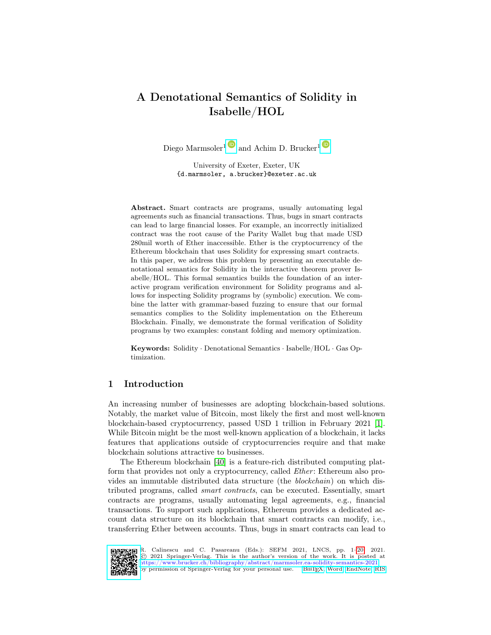## A [De](https://orcid.org/0000-0003-2859-7673)notational Se[man](https://orcid.org/0000-0002-6355-1200)tics of Solidity in Isabelle/HOL

Diego Marmsoler<sup>1</sup> and Achim D. Brucker<sup>1</sup>

University of Exeter, Exeter, UK {d.marmsoler, a.brucker}@exeter.ac.uk

Abstract. Smart contracts are programs, usually automating legal agreements such as financial transactions. Thus, bugs in smart contracts can lead to large financial losses. For example, an incorrectly initialized contract was the root cause of the Parity Wallet bug that made USD 280mil worth of Ether inaccessible. Ether is the cryptocurrency of the Ethereum blockchain that uses Solidity for expressing smart contracts. In this paper, we address this problem by presenting an executable denotational semantics for Solidity in the interactive theorem prover Isabelle/HOL. This formal semantics builds the foundation of an interactive program verification environment for Solidity programs and allows for inspecting Solidity programs by (symbolic) execution. We combine the latter with grammar-based fuzzing to ensure that our formal semantics complies to the Solidity implementation on the Ethereum Blockchain. Finally, we demonstrate the formal verification of Solidity programs by two examples: constant folding and memory optimization.

Keywords: Solidity · Denotational Semantics · Isabelle/HOL · Gas Optimization.

## 1 Introduction

An increasing number of businesses are adopting blockchain-based solutions. Notably, [the](#page-19-1) market value of Bitcoin, most likely the first and most well-known blockchain-based cryptocurrency, passed USD 1 trillion in February 2021 [1]. While Bitcoin might be the most well-known application of a blockchain, it lacks features that applications outside of cryptocurrencies require and that make blockchain solutions attractive to businesses.

The Ethereum blockchain [40] is a feature-rich distributed computing platform that provides not only a cryptocurrency, called *Ether*: Ethereum also provides an immutable distributed data structure (the blockchain) on which distributed programs, called smart contracts, can be executed. Essentially, smart contracts are programs, usually automating leg[al](#page-19-0) agreements, e.g., financial [transactions. To support such applications, Ethereum pr](https://www.brucker.ch/bibliography/abstract/marmsoler.ea-solidity-semantics-2021)ovides a dedicated account data structure on its blockchain that smart contracts can modify, i.e., transferring Ether between accounts. Thus, bugs in smart contracts can lead to



R. Calinescu and C. Pasareanu (Eds.): SEFM 2021, LNCS, pp. 1–20, 2021. © 2021 Springer-Verlag. This is the author's version of the work. It is posted at  $\sum_{n=1}^{\infty}$  C 2021 Springer-Verlag. This is the authors version of the semantics-2021<br>https://www.brucker.ch/bibliography/abstract/marmsoler.ea-solidity-semantics-2021 by permission of Springer-Verlag for your personal use. BIBTEX, Word, EndNote, RIS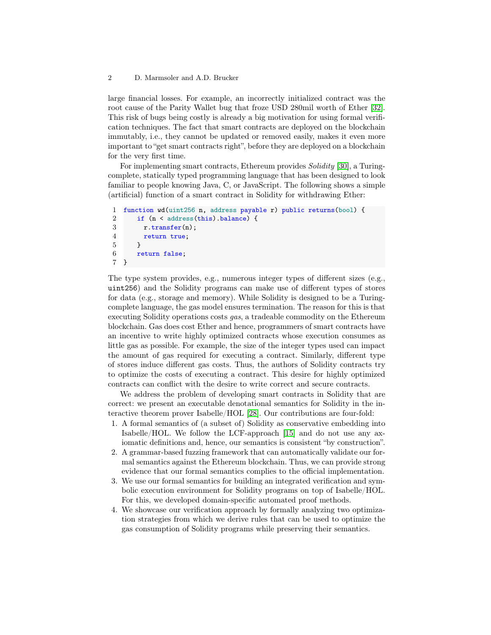large financial losses. For example, an incorrectly initialized contract was the root cause of the Parity Wallet bug that froze USD 280mil worth of Ether [32]. This risk of bugs being costly is already a bi[g m](#page-19-2)otivation for using formal verification techniques. The fact that smart contracts are deployed on the blockchain immutably, i.e., they cannot be updated or removed easily, makes it even more important to "get smart contracts right", before they are deployed on a blockchain for the very first time.

For implementing smart contracts, Ethereum provides Solidity [30], a Turingcomplete, statically typed programming language that has been designed to look familiar to people knowing Java, C, or JavaScript. The following shows a simple (artificial) function of a smart contract in Solidity for withdrawing Ether:

```
1 function wd(uint256 n, address payable r) public returns(bool) {
2 if (n < address(this).balance) {
3 r.transfer(n);
4 return true;
5 }
6 return false;
7 }
```
The type system provides, e.g., numerous integer types of different sizes (e.g., uint256) and the Solidity programs can make use of different types of stores for data (e.g., storage and memory). While Solidity is designed to be a Turingcomplete language, the gas model ensures termination. The reason for this is that executing Solidity operations costs gas, a tradeable commodity on the Ethereum blockchain. Gas does cost Ether and hence, programmers of smart contracts have an incentive to write highly optimized contracts whose execution consumes as little gas as possible. For example, the size of the integer types used can impact the amount of gas required for executing a contract. Similarly, different type of stores induce di[ffer](#page-18-0)ent gas costs. Thus, the authors of Solidity contracts try to optimize the costs of executing a contract. This desire for highly optimized contracts can conflict with th[e d](#page-18-1)esire to write correct and secure contracts.

We address the problem of developing smart contracts in Solidity that are correct: we present an executable denotational semantics for Solidity in the interactive theorem prover Isabelle/HOL [28]. Our contributions are four-fold:

- 1. A formal semantics of (a subset of) Solidity as conservative embedding into Isabelle/HOL. We follow the LCF-approach [15] and do not use any axiomatic definitions and, hence, our semantics is consistent "by construction".
- 2. A grammar-based fuzzing framework that can automatically validate our formal semantics against the Ethereum blockchain. Thus, we can provide strong evidence that our formal semantics complies to the official implementation.
- 3. We use our formal semantics for building an integrated verification and symbolic execution environment for Solidity programs on top of Isabelle/HOL. For this, we developed domain-specific automated proof methods.
- 4. We showcase our verification approach by formally analyzing two optimization strategies from which we derive rules that can be used to optimize the gas consumption of Solidity programs while preserving their semantics.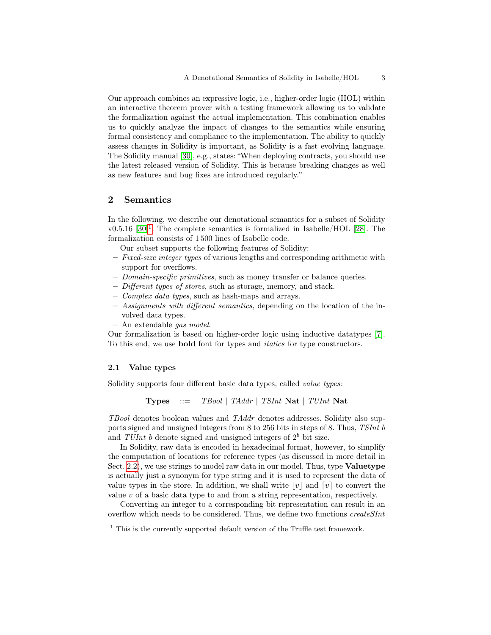Our approach combines an expressive logic, i.e., higher-order logic (HOL) within [an](#page-19-2) interactive theorem prover with a testing framework allowing us to validate the formalization against the actual implementation. This combination enables us to quickly analyze the impact of changes to the semantics while ensuring formal consistency and compliance to the implementation. The ability to quickly assess changes in Solidity is important, as Solidity is a fast evolving language. The Solidity manual [30], e.g., states: "When deploying contracts, you should use the latest released version of Solidity. This is because breaking changes as well as new features and bug fixes are introduced reg[ularl](#page-18-0)y."

## 2 Semantics

In the following, we describe our denotational semantics for a subset of Solidity  $v0.5.16$  [30]<sup>1</sup>. The complete semantics is formalized in Isabelle/HOL [28]. The formalization consists of 1 500 lines of Isabelle code.

Our subset supports the following features of Solidity:

- $-$  Fixed-size integer types of various lengths and corresponding arithmetic with support for overflows.
- Domain-specific primitives, such as money transfer or balance queries.
- Different types of stores, such as storage, memory, [and](#page-17-0) stack.
- Complex data types, such as hash-maps and arrays.
- Assignments with different semantics, depending on the location of the involved data types.
- An extendable gas model.

Our formalization is based on higher-order logic using inductive datatypes [7]. To this end, we use bold font for types and italics for type constructors.

#### 2.1 Value types

Solidity supports four different basic data types, called value types:

**Types** ::=  $TBool$  | TAddr | TSInt Nat | TUInt Nat

TBool denotes boolean values and TAddr denotes addresses. Solidity also supports signed and unsigned integers from 8 to 256 bits in steps of 8. Thus, TSInt b and TUInt b denote signed and unsigned integers of  $2<sup>b</sup>$  bit size.

In Solidity, raw data is encoded in hexadecimal format, however, to simplify the computation of locations for reference types (as discussed in more detail in Sect. 2.2), we use strings to model raw data in our model. Thus, type Valuetype is actually just a synonym for type string and it is used to represent the data of value types in the store. In addition, we shall write  $|v|$  and  $|v|$  to convert the value  $v$  of a basic data type to and from a string representation, respectively.

Converting an integer to a corresponding bit representation can result in an overflow which needs to be considered. Thus, we define two functions *createSInt* 

 $1$  This is the currently supported default version of the Truffle test framework.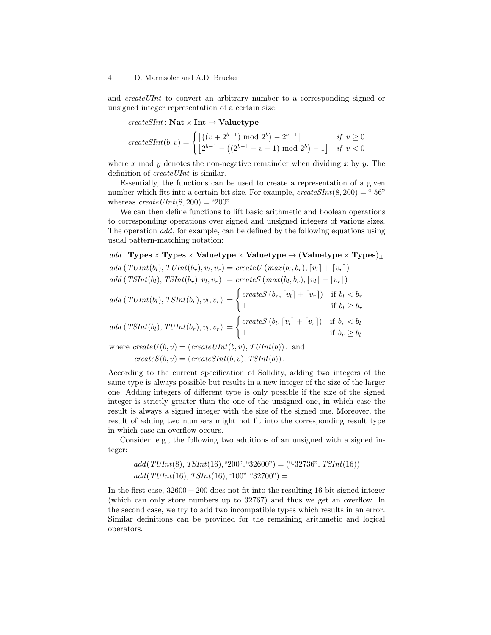and *createUInt* to convert an arbitrary number to a corresponding signed or unsigned integer representation of a certain size:

#### $createSInt: \mathbf{Nat} \times \mathbf{Int} \rightarrow \mathbf{Valuetype}$

$$
createSInt(b, v) = \begin{cases} \lfloor ((v + 2^{b-1}) \bmod 2^{b}) - 2^{b-1} \rfloor & \text{if } v \ge 0\\ \lfloor 2^{b-1} - ((2^{b-1} - v - 1) \bmod 2^{b}) - 1 \rfloor & \text{if } v < 0 \end{cases}
$$

where x mod y denotes the non-negative remainder when dividing x by y. The definition of *createUInt* is similar.

Essentially, the functions can be used to create a representation of a given number which fits into a certain bit size. For example,  $createSInt(8, 200) =$  "-56" whereas  $createUnt(8, 200) = "200".$ 

We can then define functions to lift basic arithmetic and boolean operations to corresponding operations over signed and unsigned integers of various sizes. The operation add, for example, can be defined by the following equations using usual pattern-matching notation:

 $add$ : Types × Types × Valuetype × Valuetype → (Valuetype × Types)<sub>⊥</sub>  $add(TUInt(b_l), TUInt(b_r), v_l, v_r) = createU(max(b_l, b_r), \lceil v_l \rceil + \lceil v_r \rceil)$  $add (TSInt(b_l), TSInt(b_r), v_l, v_r) = createS (max(b_l, b_r), \lceil v_l \rceil + \lceil v_r \rceil)$ 

$$
add(TUInt(b_l),TSInt(b_r),v_l,v_r) = \begin{cases} \text{createS} (b_r, [v_l] + [v_r]) & \text{if } b_l < b_r\\ \perp & \text{if } b_l \geq b_r \end{cases}
$$

$$
add (TSInt(b_l), TUInt(b_r), v_l, v_r) = \begin{cases} createS(b_l, \lceil v_l \rceil + \lceil v_r \rceil) & \text{if } b_r < b_l \\ \bot & \text{if } b_r \ge b_l \end{cases}
$$

where  $createU(b, v) = (createUnt(b, v), TUnt(b))$ , and  $createS(b, v) = (createSInt(b, v), TSInt(b)).$ 

According to the current specification of Solidity, adding two integers of the same type is always possible but results in a new integer of the size of the larger one. Adding integers of different type is only possible if the size of the signed integer is strictly greater than the one of the unsigned one, in which case the result is always a signed integer with the size of the signed one. Moreover, the result of adding two numbers might not fit into the corresponding result type in which case an overflow occurs.

Consider, e.g., the following two additions of an unsigned with a signed integer:

$$
add(TUInt(8), TSInt(16), "200", "32600") = ("-32736", TSInt(16))
$$
  

$$
add(TUInt(16), TSInt(16), "100", "32700") = \bot
$$

In the first case,  $32600 + 200$  does not fit into the resulting 16-bit signed integer (which can only store numbers up to 32767) and thus we get an overflow. In the second case, we try to add two incompatible types which results in an error. Similar definitions can be provided for the remaining arithmetic and logical operators.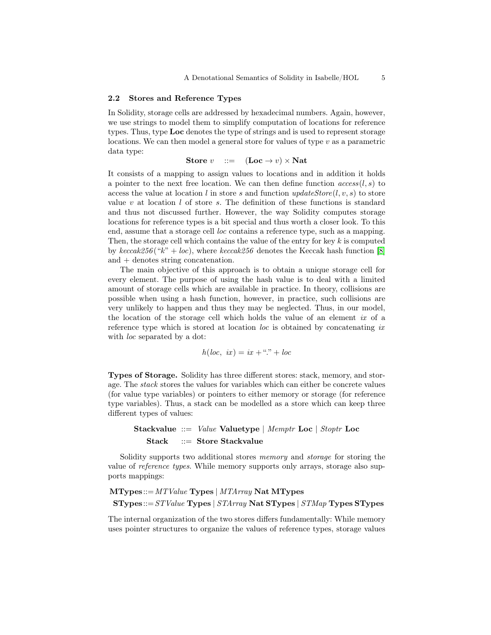#### <span id="page-4-0"></span>2.2 Stores and Reference Types

In Solidity, storage cells are addressed by hexadecimal numbers. Again, however, we use strings to model them to simplify computation of locations for reference types. Thus, type Loc denotes the type of strings and is used to represent storage locations. We can then model a general store for values of type v as a parametric data type:

Store  $v$  ::=  $(Loc \rightarrow v) \times Nat$ 

It consists of a mapping to assign values to locations and in addition it holds a pointer to the next free location. We can then define function  $access(l, s)$  to access the value at location l in store s and function  $updateStore(l, v, s)$  to store valu[e](#page-17-1)  $v$  at location  $l$  of store  $s$ . The definition of these functions is standard and thus not discussed further. However, the way Solidity computes storage locations for reference types is a bit special and thus worth a closer look. To this end, assume that a storage cell loc contains a reference type, such as a mapping. Then, the storage cell which contains the value of the entry for key  $k$  is computed by keccak256 ("k" + loc), where keccak256 denotes the Keccak hash function [8] and + denotes string concatenation.

The main objective of this approach is to obtain a unique storage cell for every element. The purpose of using the hash value is to deal with a limited amount of storage cells which are available in practice. In theory, collisions are possible when using a hash function, however, in practice, such collisions are very unlikely to happen and thus they may be neglected. Thus, in our model, the location of the storage cell which holds the value of an element  $ix$  of a reference type which is stored at location  $\alpha$  is obtained by concatenating ix with *loc* separated by a dot:

 $h(loc, ix) = ix + ``." + loc$ 

Types of Storage. Solidity has three different stores: stack, memory, and storage. The stack stores the values for variables which can either be concrete values (for value type variables) or pointers to either memory or storage (for reference type variables). Thus, a stack can be modelled as a store which can keep three different types of values:

## Stackvalue  $\mathcal{L} = Value$  Valuetype | Memptr Loc | Stoptr Loc Stack ::= Store Stackvalue

Solidity supports two additional stores memory and storage for storing the value of reference types. While memory supports only arrays, storage also supports mappings:

```
MTypes ::= MTValue Types \mid MTArray Nat MTypes
STypes ::= STValue Types \mid STArray Nat STypes \mid STMap Types STypes
```
The internal organization of the two stores differs fundamentally: While memory uses pointer structures to organize the values of reference types, storage values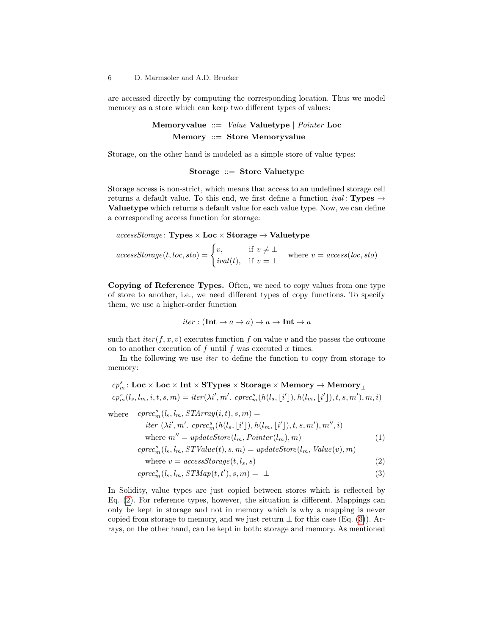are accessed directly by computing the corresponding location. Thus we model memory as a store which can keep two different types of values:

Memoryvalue ::= Value Valuetype | Pointer Loc Memory ::= Store Memoryvalue

Storage, on the other hand is modeled as a simple store of value types:

#### Storage ::= Store Valuetype

Storage access is non-strict, which means that access to an undefined storage cell returns a default value. To this end, we first define a function *ival*: Types  $\rightarrow$ Valuetype which returns a default value for each value type. Now, we can define a corresponding access function for storage:

$$
accessStorage: \textbf{Types} \times \textbf{Loc} \times \textbf{Storage} \rightarrow \textbf{Valuetype}
$$

$$
accessStorage(t, loc, sto) = \begin{cases} v, & \text{if } v \neq \bot \\ ival(t), & \text{if } v = \bot \end{cases} \text{ where } v = access(loc, sto)
$$

Copying of Reference Types. Often, we need to copy values from one type of store to another, i.e., we need different types of copy functions. To specify them, we use a higher-order function

$$
iter : (\text{Int} \to a \to a) \to a \to \text{Int} \to a
$$

such that  $iter(f, x, v)$  executes function f on value v and the passes the outcome on to another execution of  $f$  until  $f$  was executed  $x$  times.

In the following we use *iter* to define the function to copy from storage to memory:

$$
cp_m^s \colon \mathbf{Loc} \times \mathbf{Loc} \times \mathbf{Int} \times \mathbf{STypes} \times \mathbf{Storage} \times \mathbf{Memory} \rightarrow \mathbf{Memory}_{\perp}
$$
  

$$
cp_m^s(l_s, l_m, i, t, s, m) = iter(\lambda i', m'. \text{ cprec}_m^s(h(l_s, [i')), h(l_m, [i')), t, s, m'), m, i)
$$

where  $\c{spec_m^s(l_s, l_m, STArray(i, t), s, m)} =$ 

*iter* 
$$
(\lambda i', m'.
$$
 *cprec<sub>m</sub><sup>s</sup>  $(h(l_s, \lfloor i' \rfloor), h(l_m, \lfloor i' \rfloor), t, s, m'), m'', i)$   
where  $m'' = updateStore(l_m, Pointer(l_m), m)$  (1)*

 $\mathit{cprec}^s_m(l_s,l_m,STValue(t),s,m) = \mathit{updateStore}(l_m,Value(v),m)$ 

where 
$$
v = \text{accessStorage}(t, l_s, s)
$$
 (2)

$$
cprec_m^s(l_s, l_m, STMap(t, t'), s, m) = \bot
$$
\n(3)

In Solidity, value types are just copied between stores which is reflected by Eq. (2). For reference types, however, the situation is different. Mappings can only be kept in storage and not in memory which is why a mapping is never copied from storage to memory, and we just return  $\perp$  for this case (Eq. (3)). Arrays, on the other hand, can be kept in both: storage and memory. As mentioned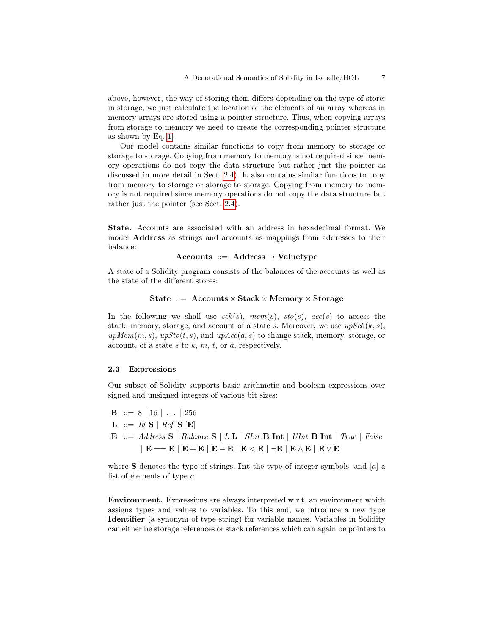above, however, the way of storing them differs depending on the type of store: in storage, we just calculate the location of the elements of an array whereas in memory arrays are stored using a pointer structure. Thus, when copying arrays from storag[e to](#page-8-0) memory we need to create the corresponding pointer structure as shown by Eq. 1.

Our model contains similar functions to copy from memory to storage or storage to s[torag](#page-8-0)e. Copying from memory to memory is not required since memory operations do not copy the data structure but rather just the pointer as discussed in more detail in Sect. 2.4). It also contains similar functions to copy from memory to storage or storage to storage. Copying from memory to memory is not required since memory operations do not copy the data structure but rather just the pointer (see Sect. 2.4).

State. Accounts are associated with an address in hexadecimal format. We model Address as strings and accounts as mappings from addresses to their balance:

#### $Accounts ::= Address \rightarrow Valuetype$

A state of a Solidity program consists of the balances of the accounts as well as the state of the different stores:

#### State  $\mathrel{\mathop:}=$  Accounts  $\times$  Stack  $\times$  Memory  $\times$  Storage

In the following we shall use  $sck(s)$ ,  $mem(s)$ ,  $sto(s)$ ,  $acc(s)$  to access the stack, memory, storage, and account of a state s. Moreover, we use  $\textit{upSck}(k, s)$ ,  $upMem(m, s)$ ,  $upSto(t, s)$ , and  $upAcc(a, s)$  to change stack, memory, storage, or account, of a state s to  $k, m, t$ , or  $a$ , respectively.

#### 2.3 Expressions

Our subset of Solidity supports basic arithmetic and boolean expressions over signed and unsigned integers of various bit sizes:

**B** ::=  $8 | 16 | \dots | 256$  $\mathbf{L}$  ::= Id  $\mathbf{S}$  | Ref  $\mathbf{S}$  [E]  $E$  ::= Address  $S |$  Balance  $S | L L |$  SInt  $B$  Int  $|$  UInt  $B$  Int  $|$  True  $|$  False  $| E == E | E + E | E - E | E < E | \neg E | E \wedge E | E \vee E |$ 

where **S** denotes the type of strings, **Int** the type of integer symbols, and  $[a]$  a list of elements of type a.

Environment. Expressions are always interpreted w.r.t. an environment which assigns types and values to variables. To this end, we introduce a new type Identifier (a synonym of type string) for variable names. Variables in Solidity can either be storage references or stack references which can again be pointers to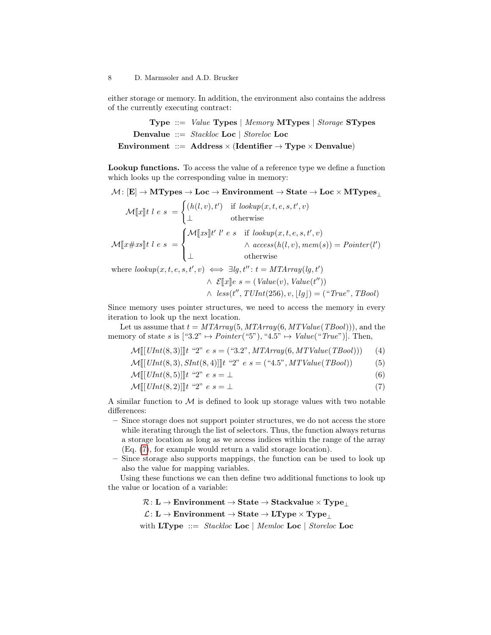either storage or memory. In addition, the environment also contains the address of the currently executing contract:

**Type** ::= Value Types | Memory MTypes | Storage STypes  
\nDenvalue ::= Stackloc Loc | Storeloc Loc  
\nEnvironment ::= Address × (Identifier 
$$
\rightarrow
$$
 Type × Denvalue)

Lookup functions. To access the value of a reference type we define a function which looks up the corresponding value in memory:

$$
\mathcal{M}: [\mathbf{E}] \to \mathbf{MTypes} \to \mathbf{Loc} \to \mathbf{Environment} \to \mathbf{State} \to \mathbf{Loc} \times \mathbf{MTypes}_{\perp}
$$
\n
$$
\mathcal{M}[\![x]\!]t \, l \, e \, s = \begin{cases} (h(l, v), t') & \text{if } lookup(x, t, e, s, t', v) \\ \bot & \text{otherwise} \end{cases}
$$
\n
$$
\mathcal{M}[\![x \# xs]\!]t \, l \, e \, s = \begin{cases} \mathcal{M}[\![xs]\!]t' \, l' \, e \, s & \text{if } lookup(x, t, e, s, t', v) \\ \bot & \land access(h(l, v), mem(s)) = Pointer(l') \\ \bot & \text{otherwise} \end{cases}
$$

where  $\text{lookup}(x, t, e, s, t', v) \iff \exists \textit{lg}, t'' : t = \textit{MTArray}(\textit{lg}, t')$ 

$$
\land \ \mathcal{E}[\![x]\!] e \ s = (Value(v), Value(t''))
$$
  
 
$$
\land \ \text{less}(t'', TUInt(256), v, |lg|) = ("True", TBool)
$$

Since memory uses pointer structures, we need to access the memory in every iteration to look up the next location.

Let us assume that  $t = MTArray(5, MTArray(6, MTValue(TBool))),$  and the memory of state s is  $[$ "3.2"  $\mapsto$  Pointer ("5"), "4.5"  $\mapsto$  Value("True")]. Then,

$$
\mathcal{M}[[\text{UInt}(8,3)]]t \, \stackrel{\text{def}}{=} \, s = (\text{``3.2''}, \text{MTArray}(6, \text{MTValue}(\text{TBool}))) \tag{4}
$$

$$
\mathcal{M}[[\text{UInt}(8,3), \text{SInt}(8,4)]]t \text{``2" } e \text{ } s = (\text{``4.5",} \text{MTValue}(\text{TBool})) \tag{5}
$$

$$
\mathcal{M}[[\mathit{UInt}(8,5)]]t \stackrel{\text{def}}{=} s = \bot \tag{6}
$$

$$
\mathcal{M}[[\mathit{UInt}(8,2)]]\mathit{t} \text{``}2\text{''} \text{ } e \text{ } s = \bot \tag{7}
$$

A similar function to  $M$  is defined to look up storage values with two notable differences:

- Since storage does not support pointer structures, we do not access the store while iterating through the list of selectors. Thus, the function always returns a storage location as long as we access indices within the range of the array (Eq. (7), for example would return a valid storage location).
- Since storage also supports mappings, the function can be used to look up also the value for mapping variables.

Using these functions we can then define two additional functions to look up the value or location of a variable:

 $\mathcal{R}: L \to \text{Environment} \to \text{State} \to \text{Stackvalue} \times \text{Type}_{\perp}$ 

 $\mathcal{L}: L \to \text{Environment} \to \text{State} \to \text{LType} \times \text{Type}$ 

with LType  $\ ::=$  Stackloc Loc | Memloc Loc | Storeloc Loc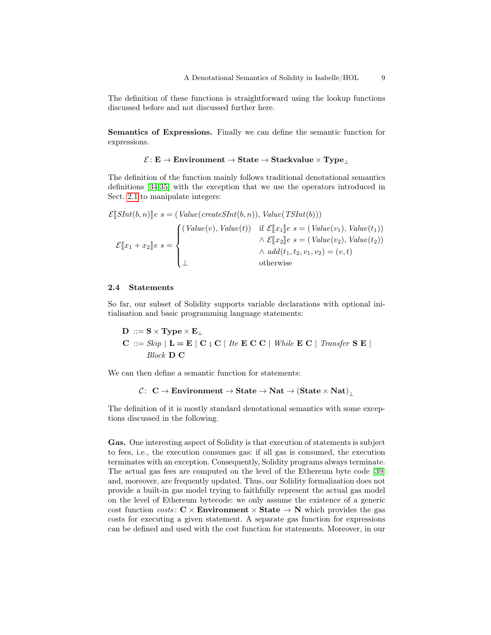The definition of these functions is straightforward using the lookup functions discussed before and not discussed further here.

Semantics of Expressions. Finally we can define the semantic function for expressions.

### $\mathcal{E}: \mathbf{E} \to \mathbf{Environment} \to \mathbf{State} \to \mathbf{Stackvalue} \times \mathbf{Type}_{\perp}$

The definition of the function mainly follows traditional denotational semantics definitions [34,35] with the exception that we use the operators introduced in Sect. 2.1 to manipulate integers:

<span id="page-8-0"></span>
$$
\mathcal{E}[\mathit{SInt}(b,n)]\mathit{e} \ s = (\mathit{Value}(\mathit{createSInt}(b,n)),\mathit{Value}(\mathit{TSInt}(b)))
$$
\n
$$
\mathcal{E}[\mathit{x}_1 + \mathit{x}_2]\mathit{e} \ s = \begin{cases}\n(\mathit{Value}(v),\mathit{Value}(t)) & \text{if } \mathcal{E}[\mathit{x}_1]\mathit{e} \ s = (\mathit{Value}(v_1),\mathit{Value}(t_1)) \\
& \wedge \mathcal{E}[\mathit{x}_2]\mathit{e} \ s = (\mathit{Value}(v_2),\mathit{Value}(t_2)) \\
& \wedge \mathit{add}(t_1,t_2,v_1,v_2) = (v,t) \\
& \text{otherwise}\n\end{cases}
$$

#### 2.4 Statements

So far, our subset of Solidity supports variable declarations with optional initialisation and basic programming language statements:

$$
\begin{aligned} \mathbf{D} &::=\mathbf{S}\times\mathbf{Type}\times\mathbf{E}_{\perp} \\ \mathbf{C} &::= \text{skip} \mid \mathbf{L} = \mathbf{E} \mid \mathbf{C} \text{ ; } \mathbf{C} \mid \text{ \textit{He } } \mathbf{E} \mathbf{C} \mathbf{C} \mid \text{ \textit{While } } \mathbf{E} \mathbf{C} \mid \text{ \textit{Transfer S E}} \mid \\ & \text{Block } \mathbf{D} \mathbf{C} \end{aligned}
$$

We can then define a semantic function for statements:

$$
\mathcal{C}\colon\thinspace\thinspace\mathbf C\to\mathbf{Environment}\to\mathbf{State}\to\mathbf{Nat}\to\left(\mathbf{State}\times\mathbf{Nat}\right)_{\perp}
$$

The definition of it is mostly standard denotational semantics with some exceptions discussed in the following.

Gas. One interesting aspect of Solidity is that execution of statements is subject to fees, i.e., the execution consumes gas: if all gas is consumed, the execution terminates with an exception. Consequently, Solidity programs always terminate. The actual gas fees are computed on the level of the Ethereum byte code [39] and, moreover, are frequently updated. Thus, our Solidity formalization does not provide a built-in gas model trying to faithfully represent the actual gas model on the level of Ethereum bytecode: we only assume the existence of a generic cost function  $costs: \mathbf{C} \times \mathbf{Environment} \times \mathbf{State} \rightarrow \mathbf{N}$  which provides the gas costs for executing a given statement. A separate gas function for expressions can be defined and used with the cost function for statements. Moreover, in our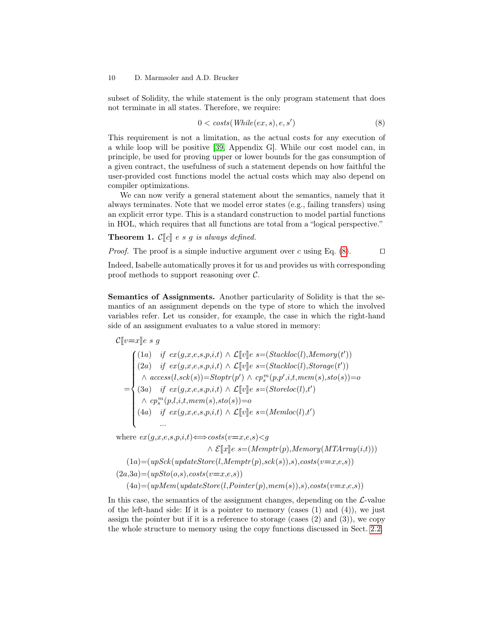<span id="page-9-0"></span>subset of [So](#page-19-3)lidity, the while statement is the only program statement that does not terminate in all states. Therefore, we require:

$$
0 < \text{costs}(\text{While}(ex, s), e, s') \tag{8}
$$

This requirement is not a limitation, as the actual costs for any execution of a while loop will be positive [39, Appendix G]. While our cost model can, in principle, be used for proving upper or lower bounds for the gas consumption of a given contract, the usefulness of such a statement depends on how faithful the user-provided cost functions model the actual costs which may also depend on compiler optimizations.

We can now verify a general statement about the semantics, namely that it always terminates. Note that we model error [sta](#page-9-0)tes (e.g., failing transfers) using an explicit error type. This is a standard construction to model partial functions in HOL, which requires that all functions are total from a "logical perspective."

**Theorem 1.**  $C[c]$  e s g is always defined.

*Proof.* The proof is a simple inductive argument over c using Eq.  $(8)$ . □

Indeed, Isabelle automatically proves it for us and provides us with corresponding proof methods to support reasoning over  $\mathcal{C}$ .

Semantics of Assignments. Another particularity of Solidity is that the semantics of an assignment depends on the type of store to which the involved variables refer. Let us consider, for example, the case in which the right-hand side of an assignment evaluates to a value stored in memory:

$$
\mathcal{C}[\![v=x]\!] e s g
$$
\n
$$
\mathcal{C}[\![v=x]\!] e s g
$$
\n
$$
= \begin{cases}\n(1a) & \text{if } ex(g,x,e,s,p,i,t) \land \mathcal{L}[\![v]\!] e s = (Stackloc(l),Memory(t')) \\
(2a) & \text{if } ex(g,x,e,s,p,i,t) \land \mathcal{L}[\![v]\!] e s = (Stackloc(l), Storage(t')) \\
\land access(l,sck(s)) = Stoptr(p') \land cp_s^m(p,p',i,t,mem(s),sto(s)) = o \\
(3a) & \text{if } ex(g,x,e,s,p,i,t) \land \mathcal{L}[\![v]\!] e s = (Storeloc(l),t') \\
\land cp_s^m(p,l,i,t,mem(s),sto(s)) = o \\
(4a) & \text{if } ex(g,x,e,s,p,i,t) \land \mathcal{L}[\![v]\!] e s = (Memloc(l),t') \\
\dots \\
\text{where } ex(g,x,e,s,p,i,t) \iff costs(v=x,e,s) < g\n\end{cases}
$$

 $\wedge \mathcal{E}[\![x]\!]$ e s=(Memptr(p),Memory(MTArray(i,t)))  $(1a) = (upSck(updateStore(l,Memptr(p),sck(s)),s),costs(v=x,e,s))$  $(2a,3a)=(upSto(o,s),costs(v=x,e,s))$  $(4a) = (upMem(updateStore(l, Pointer(p),mem(s)),s), costs(v=x,e,s))$  $(4a) = (upMem(updateStore(l, Pointer(p),mem(s)),s), costs(v=x,e,s))$  $(4a) = (upMem(updateStore(l, Pointer(p),mem(s)),s), costs(v=x,e,s))$ 

In this case, the semantics of the assignment changes, depending on the  $\mathcal{L}\text{-value}$ of the left-hand side: If it is a pointer to memory (cases  $(1)$  and  $(4)$ ), we just assign the pointer but if it is a reference to storage (cases  $(2)$  and  $(3)$ ), we copy the whole structure to memory using the copy functions discussed in Sect. 2.2.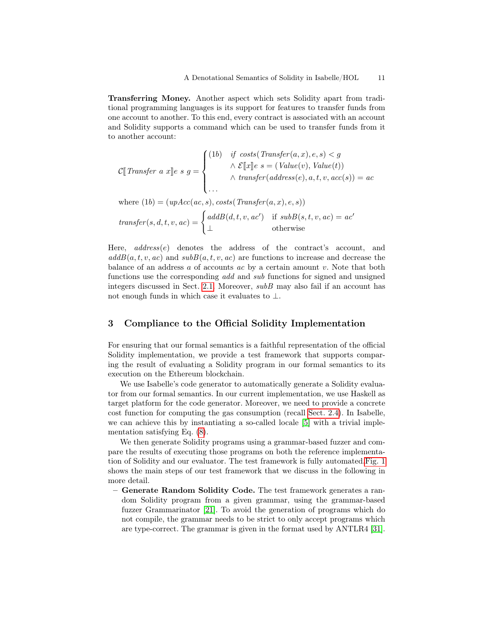Transferring Money. Another aspect which sets Solidity apart from traditional programming languages is its support for features to transfer funds from one account to another. To this end, every contract is associated with an account and Solidity supports a command which can be used to transfer funds from it to another account:

$$
\mathcal{C}[\![\mathit{Transfer}\;a\;x]\!] e\;s\;g = \begin{cases} (1b) & \text{if } \mathit{costs}(\mathit{Transfer}(a,x),e,s) < g \\ < \mathcal{E}[\![x]\!] e\;s = (\mathit{Value}(v),\mathit{Value}(t)) \\ < \mathit{transfer}(\mathit{address}(e),a,t,v,\mathit{acc}(s)) = ac \\ \dots \\ < \mathit{where } (1b) = (\mathit{upAcc}(ac,s),\mathit{costs}(\mathit{Transfer}(a,x),e,s)) \end{cases}
$$

$$
transfer(s, d, t, v, ac) = \begin{cases} addB(d, t, v, ac') & \text{if } subB(s, t, v, ac) = ac' \\ \perp & \text{otherwise} \end{cases}
$$

Here,  $address(e)$  denotes the address of the contract's account, and  $addB(a, t, v, ac)$  and  $subB(a, t, v, ac)$  are functions to increase and decrease the balance of an address  $a$  of accounts  $ac$  by a certain amount  $v$ . Note that both functions use the corresponding add and sub functions for signed and unsigned integers discussed in Sect. 2.1. Moreover,  $subB$  may also fail if an account has not enough funds in which case it evaluates to ⊥.

## 3 Compliance to the Official Solidity Implementation

For ensuring that our formal semantics is a faithful representation of the official Solidity implementation, we provide a test framework that supports comparing the result of evaluating a Solid[ity progra](#page-8-0)m in our formal semantics to its execution on the Ethereum blockc[ha](#page-17-2)in.

[We](#page-9-0) use Isabelle's code generator to automatically generate a Solidity evaluator from our formal semantics. In our current implementation, we use Haskell as target platform for the code generator. Moreover, we need to provide a concrete cost function for computing the gas consumption (r[ecall Se](#page-11-0)ct. 2.4). In Isabelle, we can achieve this by instantiating a so-called locale [5] with a trivial implementation satisfying Eq. (8).

We then generate Solidity programs using a grammar-based fuzzer and compare the results of executing those programs on both the reference implementation o[f So](#page-18-2)lidity and our evaluator. The test framework is fully automated.Fig. 1 shows the main steps of our test framework that we discuss in the following in more detail.

– Generate Random Solidity Code. The test framework generates a random Solidity program from a given grammar, using the grammar-based fuzzer Grammarinator [21]. To avoid the generation of programs which do not compile, the grammar needs to be strict to only accept programs which are type-correct. The grammar is given in the format used by ANTLR4 [31].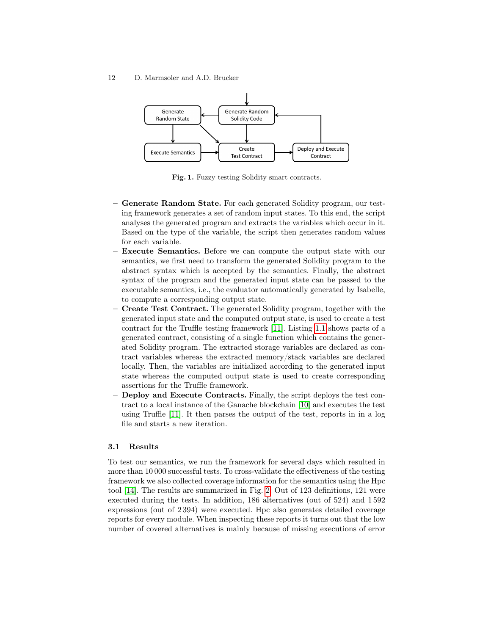<span id="page-11-0"></span>

Fig. 1. Fuzzy testing Solidity smart contracts.

- Generate Random State. For each generated Solidity program, our testing framework generates a set of random input states. To this end, the script analyses the generated program and extracts the variables which occur in it. Based on the type of the variable, the script then generates random values for each variable.
- Execute Semantics. Before we can compute the output state with our semantics, we first need to transform the generated Solidity program to the abstract syntax which is accepted by the semantics. Finally, the abstract syntax of the progra[m an](#page-17-3)d the g[enera](#page-12-0)ted input state can be passed to the executable semantics, i.e., the evaluator automatically generated by Isabelle, to compute a corresponding output state.
- Create Test Contract. The generated Solidity program, together with the generated input state and the computed output state, is used to create a test contract for the Truffle testing framework [11]. Listing 1.1 shows parts of a generated contract, consisting of a single function which contains the generated Solidity program. The extracted storage variables are declared as contract variables whereas the e[xtra](#page-17-4)cted memory/stack variables are declared locally. Then, the variables are initialized according to the generated input state whereas the computed output state is used to create corresponding assertions for the Truffle framework.
- Deploy and Execute Contracts. Finally, the script deploys the test contract to a local instance of the Ganache blockchain [10] and executes the test using Truffle [11]. It then parses the output of the test, reports in in a log file and starts a new iteration.

#### 3.1 Results

To test our semantics, we run the framework for several days which resulted in more than 10 000 successful tests. To cross-validate the effectiveness of the testing framework we also collected coverage information for the semantics using the Hpc tool [14]. The results are summarized in Fig. 2: Out of 123 definitions, 121 were executed during the tests. In addition, 186 alternatives (out of 524) and 1 592 expressions (out of 2 394) were executed. Hpc also generates detailed coverage reports for every module. When inspecting these reports it turns out that the low number of covered alternatives is mainly because of missing executions of error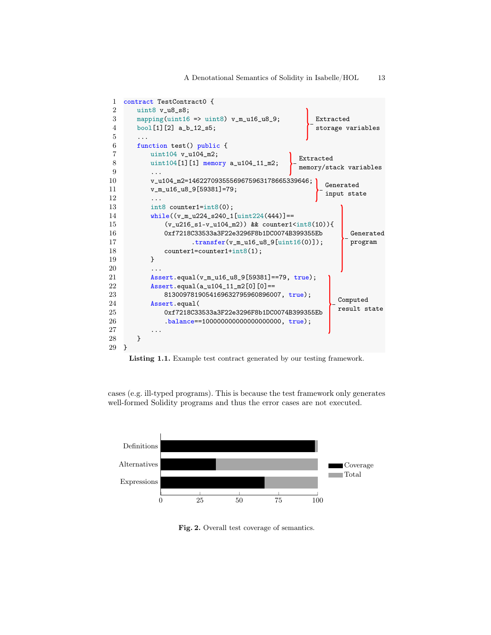<span id="page-12-0"></span>

Listing 1.1. Example test contract generated by our testing framework.

cases (e.g. ill-typed programs). This is because the test framework only generates well-formed Solidity programs and thus the error cases are not executed.



Fig. 2. Overall test coverage of semantics.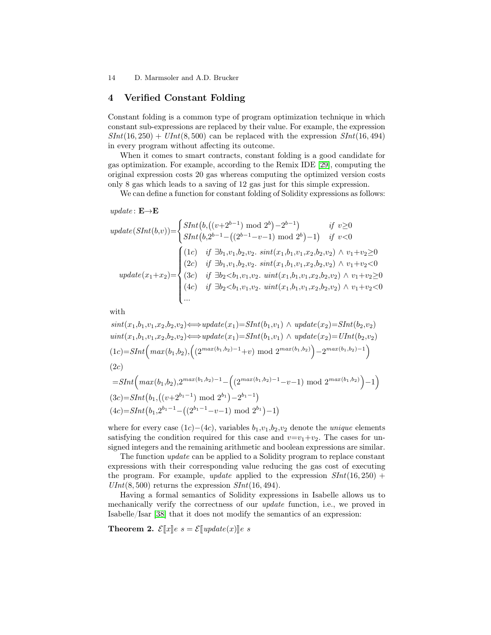## 4 Verified Constant Folding

Constant folding is a common type of [prog](#page-19-4)ram optimization technique in which constant sub-expressions are replaced by their value. For example, the expression  $SInt(16, 250) + UInt(8, 500)$  can be replaced with the expression  $SInt(16, 494)$ in every program without affecting its outcome.

When it comes to smart contracts, constant folding is a good candidate for gas optimization. For example, according to the Remix IDE [29], computing the original expression costs 20 gas whereas computing the optimized version costs only 8 gas which leads to a saving of 12 gas just for this simple expression.

We can define a function for constant folding of Solidity expressions as follows:

 $update: \mathbf{E} \rightarrow \mathbf{E}$ 

$$
update(SInt(b,v)) = \begin{cases} SInt(b, ((v+2^{b-1}) \mod 2^{b}) - 2^{b-1}) & \text{if } v \ge 0 \\ SInt(b, 2^{b-1} - ((2^{b-1} - v - 1) \mod 2^{b}) - 1) & \text{if } v < 0 \end{cases}
$$

$$
update(x_1 + x_2) = \begin{cases} (1c) & \text{if } \exists b_1, v_1, b_2, v_2. \quad sint(x_1, b_1, v_1, x_2, b_2, v_2) \land v_1 + v_2 \ge 0 \\ (2c) & \text{if } \exists b_1, v_1, b_2, v_2. \quad sint(x_1, b_1, v_1, x_2, b_2, v_2) \land v_1 + v_2 < 0 \\ (3c) & \text{if } \exists b_2 < b_1, v_1, v_2. \quad unit(x_1, b_1, v_1, x_2, b_2, v_2) \land v_1 + v_2 < 0 \\ (4c) & \text{if } \exists b_2 < b_1, v_1, v_2. \quad unit(x_1, b_1, v_1, x_2, b_2, v_2) \land v_1 + v_2 < 0 \end{cases}
$$

with

$$
sint(x_1, b_1, v_1, x_2, b_2, v_2) \iff update(x_1) = SInt(b_1, v_1) \land update(x_2) = SInt(b_2, v_2)
$$
  
\n
$$
uint(x_1, b_1, v_1, x_2, b_2, v_2) \iff update(x_1) = SInt(b_1, v_1) \land update(x_2) = UInt(b_2, v_2)
$$
  
\n
$$
(1c) = SInt\Big(\max(b_1, b_2), \Big((2^{\max(b_1, b_2)-1} + v) \mod 2^{\max(b_1, b_2)}\Big) - 2^{\max(b_1, b_2)-1}\Big)
$$
  
\n
$$
(2c)
$$
  
\n
$$
= SInt\Big(\max(b_1, b_2), 2^{\max(b_1, b_2)-1} - \Big((2^{\max(b_1, b_2)-1} - v - 1) \mod 2^{\max(b_1, b_2)}\Big) - 1\Big)
$$
  
\n
$$
(3c) = SInt(b_1, ((v+2^{b_1-1}) \mod 2^{b_1}) - 2^{b_1-1})
$$
  
\n
$$
(4c) = SInt(b_1, 2^{b_1-1} - ((2^{b_1-1} - v - 1) \mod 2^{b_1}) - 1)
$$

where for every case  $(1c)–(4c)$ , variables  $b_1,v_1,b_2,v_2$  denote the *unique* elements satisfying the condition required for this case and  $v=v_1+v_2$ . The cases for unsigned integers and the remaining arithmetic and boolean expressions are similar.

The function update can be applied to a Solidity program to replace constant expressions with their corresponding value reducing the gas cost of executing the program. For example, *update* applied to the expression  $SInt(16, 250)$  +  $UInt(8, 500)$  returns the expression  $SInt(16, 494)$ .

Having a formal semantics of Solidity expressions in Isabelle allows us to mechanically verify the correctness of our update function, i.e., we proved in Isabelle/Isar [38] that it does not modify the semantics of an expression:

**Theorem 2.**  $\mathcal{E}[\![x]\!]$ e s =  $\mathcal{E}[\![update(x)]\!]$ e s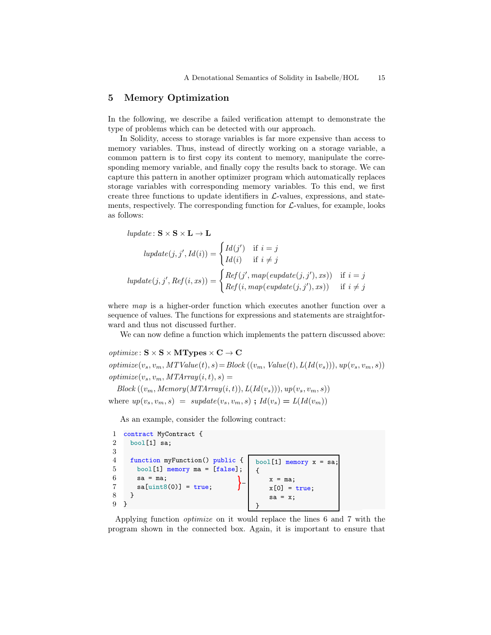## 5 Memory Optimization

In the following, we describe a failed verification attempt to demonstrate the type of problems which can be detected with our approach.

In Solidity, access to storage variables is far more expensive than access to memory variables. Thus, instead of directly working on a storage variable, a common pattern is to first copy its content to memory, manipulate the corresponding memory variable, and finally copy the results back to storage. We can capture this pattern in another optimizer program which automatically replaces storage variables with corresponding memory variables. To this end, we first create three functions to update identifiers in  $\mathcal{L}\text{-values}$ , expressions, and statements, respectively. The corresponding function for  $\mathcal{L}\text{-values}$ , for example, looks as follows:

$$
lupdate: \mathbf{S} \times \mathbf{S} \times \mathbf{L} \to \mathbf{L}
$$

$$
lupdate(j, j', Id(i)) = \begin{cases} Id(j') & \text{if } i = j \\ Id(i) & \text{if } i \neq j \end{cases}
$$

$$
lupdate(j, j', Ref(i, xs)) = \begin{cases} Ref(j', map(eupdate(j, j'), xs)) & \text{if } i = j \\ Ref(i, map(eupdate(j, j'), xs)) & \text{if } i \neq j \end{cases}
$$

where map is a higher-order function which executes another function over a sequence of values. The functions for expressions and statements are straightforward and thus not discussed further.

We can now define a function which implements the pattern discussed above:

 $\textit{optimize}: \mathbf{S} \times \mathbf{S} \times \mathbf{MTypes} \times \mathbf{C} \rightarrow \mathbf{C}$  $optimize(v_s, v_m, MTValue(t), s) = Block((v_m, Value(t), L(Id(v_s))), up(v_s, v_m, s))$  $\textit{optimize}(v_s, v_m, MTArray(i, t), s) =$ 

 $Block ((v_m, Memory(MTArray(i, t)), L(Id(v_s))), up(v_s, v_m, s))$ where  $up(v_s, v_m, s) = supdate(v_s, v_m, s)$ ;  $Id(v_s) = L(Id(v_m))$ 

As an example, consider the following contract:

```
1 contract MyContract {
2 \quad \text{bool}[1] sa;
3
4 function myFunction() public {
5 bool[1] memory ma = [false];
6 sa = ma;
7 \qquad \qquad sa[uint8(0)] = true;
8 }
9 }
                                        bool[1] memory x = sa;
                                        {
                                            x = ma:
                                            x[0] = true:
                                            sa = x;
                                        }
```
Applying function optimize on it would replace the lines 6 and 7 with the program shown in the connected box. Again, it is important to ensure that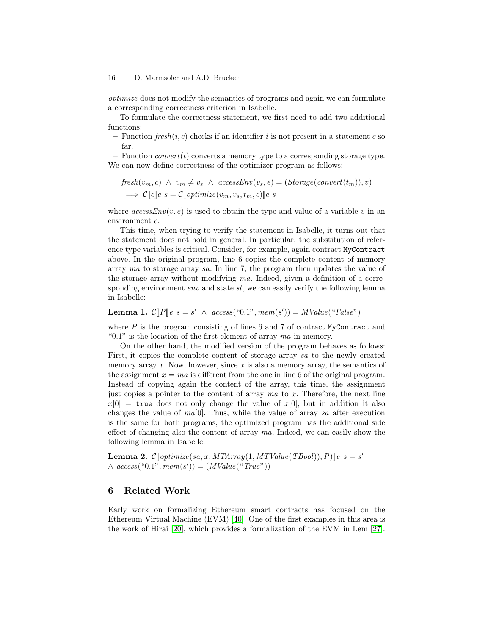optimize does not modify the semantics of programs and again we can formulate a corresponding correctness criterion in Isabelle.

To formulate the correctness statement, we first need to add two additional functions:

– Function  $\text{fresh}(i, c)$  checks if an identifier i is not present in a statement c so far.

– Function *convert*(*t*) converts a memory type to a corresponding storage type. We can now define correctness of the optimizer program as follows:

$$
fresh(v_m, c) \wedge v_m \neq v_s \wedge accessEnv(v_s, e) = (Storage(convert(t_m)), v)
$$
  
\n
$$
\implies \mathcal{C}[[c]]e \ s = \mathcal{C}[[optimize(v_m, v_s, t_m, c)]]e \ s
$$

where  $accessEnv(v, e)$  is used to obtain the type and value of a variable v in an environment e.

This time, when trying to verify the statement in Isabelle, it turns out that the statement does not hold in general. In particular, the substitution of reference type variables is critical. Consider, for example, again contract MyContract above. In the original program, line 6 copies the complete content of memory array ma to storage array sa. In line 7, the program then updates the value of the storage array without modifying ma. Indeed, given a definition of a corresponding environment env and state  $st$ , we can easily verify the following lemma in Isabelle:

# **Lemma 1.**  $C[\![P]\!] e \ s = s' \ \wedge \ access(\text{``}0.1", \text{mem}(s')) = \text{MValue}(\text{``False''})$

where  $P$  is the program consisting of lines 6 and 7 of contract MyContract and " $0.1$ " is the location of the first element of array ma in memory.

On the other hand, the modified version of the program behaves as follows: First, it copies the complete content of storage array sa to the newly created memory array  $x$ . Now, however, since  $x$  is also a memory array, the semantics of the assignment  $x = ma$  is different from the one in line 6 of the original program. Instead of copying again the content of the array, this time, the assignment just copies a pointer to the content of array  $ma$  to x. Therefore, the next line  $x[0]$  = true does not only change the value of  $x[0]$ , but in addition it also changes the value of  $ma[0]$ . Thus, while the value of array sa after execution is the same for both programs, the optimized program has the additional side effect of changing also the content of array ma. Indeed, we can easily show the following lemma in Isabelle:

**Lemma 2.**  $\mathcal{C}[\text{primitive}(sa, x, MTArray(1, MTValue(TBool)), P)]e \ s = s'$  $\land$  access("0.1", [me](#page-19-1)m(s')) =  $(MValue("True")$ )

## 6 Related Work

Early work on formalizing Ethereum smart contracts has focused on the Ethereum Virtual Machine (EVM) [40]. One of the first examples in this area is the work of Hirai [20], which provides a formalization of the EVM in Lem [27].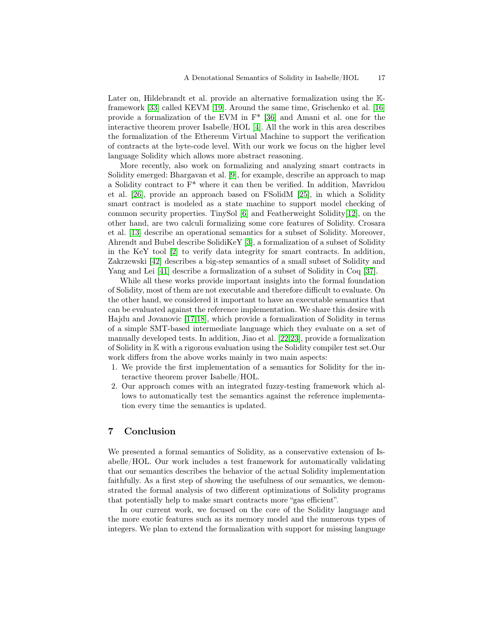Later on, Hildebrandt et al. provide an alternative formalization using the Kframework [33] called KEVM [19]. Around the same time, Grischenko et al. [16] provide a formalization of the EVM in F\* [36] and Amani et al. one for the interactive th[eo](#page-17-6)rem prover Isabelle/HOL [4]. All the work in this area describes the formalization of the Ethereum Virtual Machine to support the verification of contracts at the byte-code leve[l. W](#page-18-3)ith our work we focus on the higher level language Solidity which allows more abstract reasoning.

More recentl[y,](#page-17-7) also work on formalizing a[nd a](#page-18-4)nalyzing smart contracts in Solidity emerged: Bhargavan et al. [9], for example, describe an approach to map a Solidity contract to F\* where it can then be verified. In addition, Mavridou et al. [26], provid[e](#page-17-8) an approach based on FSolidM [25], in which a Solidity smart contract is modeled as a state machine to support model checking of common security properties. TinySol [6] and Featherweight Solidity[12], on the other hand, are two calculi formalizing some core f[eatu](#page-19-5)res of Solidity. Crosara et al. [13] describe an operational semantics for a subset of Solidity. Moreover, Ahrendt and Bubel describe SolidiKeY [3], a formalization of a subset of Solidity in the KeY tool [2] to verify data integrity for smart contracts. In addition, Zakrzewski [42] describes a big-step semantics of a small subset of Solidity and [Yan](#page-18-5)[g a](#page-18-6)nd Lei [41] describe a formalization of a subset of Solidity in Coq [37].

While all these works provide important insights into the formal foundation of Solidity, most of them are [not](#page-18-7) [ex](#page-18-8)ecutable and therefore difficult to evaluate. On the other hand, we considered it important to have an executable semantics that can be evaluated against the reference implementation. We share this desire with Hajdu and Jovanovic [17,18], which provide a formalization of Solidity in terms of a simple SMT-based intermediate language which they evaluate on a set of manually developed tests. In addition, Jiao et al. [22,23], provide a formalization of Solidity in K with a rigorous evaluation using the Solidity compiler test set.Our work differs from the above works mainly in two main aspects:

- 1. We provide the first implementation of a semantics for Solidity for the interactive theorem prover Isabelle/HOL.
- 2. Our approach comes with an integrated fuzzy-testing framework which allows to automatically test the semantics against the reference implementation every time the semantics is updated.

## 7 Conclusion

We presented a formal semantics of Solidity, as a conservative extension of Isabelle/HOL. Our work includes a test framework for automatically validating that our semantics describes the behavior of the actual Solidity implementation faithfully. As a first step of showing the usefulness of our semantics, we demonstrated the formal analysis of two different optimizations of Solidity programs that potentially help to make smart contracts more "gas efficient".

In our current work, we focused on the core of the Solidity language and the more exotic features such as its memory model and the numerous types of integers. We plan to extend the formalization with support for missing language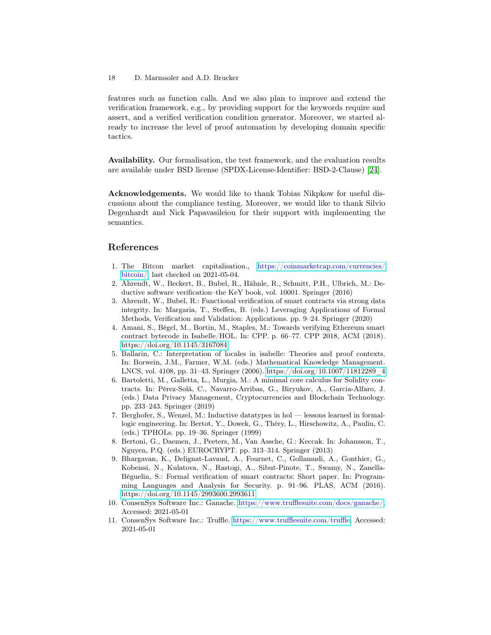features such as function calls. And we also plan to improve and extend the verification framework, e.g., by providing support for the keywords require and assert, and a verified verification condition generator[. M](#page-18-9)oreover, we started already to increase the level of proof automation by developing domain specific tactics.

Availability. Our formalisation, the test framework, and the evaluation results are available under BSD license (SPDX-License-Identifier: BSD-2-Clause) [24].

Acknowledgements. We would like to thank Tobias Nikpkow for useful discussions about the compliance testing. Moreover, we would like to thank Silvio Degenhardt and Nic[k Papavasileiou for their support wit](https://coinmarketcap.com/currencies/bitcoin/)h implementing the semantics.

## <span id="page-17-8"></span>References

- 1. The Bitcon market capitalisation., https://coinmarketcap.com/currencies/ bitcoin/, last checked on 2021-05-04.
- <span id="page-17-5"></span>2. Ahrendt, W., Beckert, B., Bubel, R., Hähnle, R., Schmitt, P.H., Ulbrich, M.: De[ductive sof](https://doi.org/10.1145/3167084)tware verification–the KeY book, vol. 10001. Springer (2016)
- <span id="page-17-2"></span>3. Ahrendt, W., Bubel, R.: Functional verification of smart contracts via strong data integrity. In: Margaria, T., Steffen, B. (eds.) Leveraging Applications of Formal Methods, Verification [and Validation: Applications. pp. 9–2](https://doi.org/10.1007/11812289_4)4. Springer (2020)
- <span id="page-17-7"></span>4. Amani, S., Bégel, M., Bortin, M., Staples, M.: Towards verifying Ethereum smart contract bytecode in Isabelle/HOL. In: CPP. p. 66–77. CPP 2018, ACM (2018). https://doi.org/10.1145/3167084
- <span id="page-17-0"></span>5. Ballarin, C.: Interpretation of locales in isabelle: Theories and proof contexts. In: Borwein, J.M., Farmer, W.M. (eds.) Mathematical Knowledge Management. LNCS, vol. 4108, pp. 31–43. Springer (2006). https://doi.org/10.1007/11812289\_4
- <span id="page-17-1"></span>6. Bartoletti, M., Galletta, L., Murgia, M.: A minimal core calculus for Solidity contracts. In: Pérez-Solà, C., Navarro-Arribas, G., Biryukov, A., Garcia-Alfaro, J. (eds.) Data Privacy Management, Cryptocurrencies and Blockchain Technology. pp. 233–243. Springer (2019)
- <span id="page-17-6"></span>7. Berghofer, S., Wenzel, M.: Inductive datatypes in hol — lessons learned in formallogic engineering. In: Bertot, Y., Dowek, G., Théry, L., Hirschowitz, A., Paulin, C. (eds.) TPHOLs. pp. 19–36. Springer (1999)
- 8. [Bertoni, G., Daeme](https://doi.org/10.1145/2993600.2993611)n, J., Peeters, M., Van Assche, G.: Keccak. In: Johansson, T., Nguyen, P.Q[. \(eds.\) EUROCRYPT. pp. 313–314. Springer](https://www.trufflesuite.com/docs/ganache/) (2013)
- <span id="page-17-4"></span><span id="page-17-3"></span>9. Bhargavan, K., Delignat-Lavaud, A., Fournet, C., Gollamudi, A., Gonthier, G., Kobeissi, [N., Kulatova, N., Rastogi, A., Sibut-](https://www.trufflesuite.com/truffle)Pinote, T., Swamy, N., Zanella-Béguelin, S.: Formal verification of smart contracts: Short paper. In: Programming Languages and Analysis for Security. p. 91–96. PLAS, ACM (2016). https://doi.org/10.1145/2993600.2993611
- 10. ConsenSys Software Inc.: Ganache. https://www.trufflesuite.com/docs/ganache/, Accessed: 2021-05-01
- 11. ConsenSys Software Inc.: Truffle. https://www.trufflesuite.com/truffle, Accessed: 2021-05-01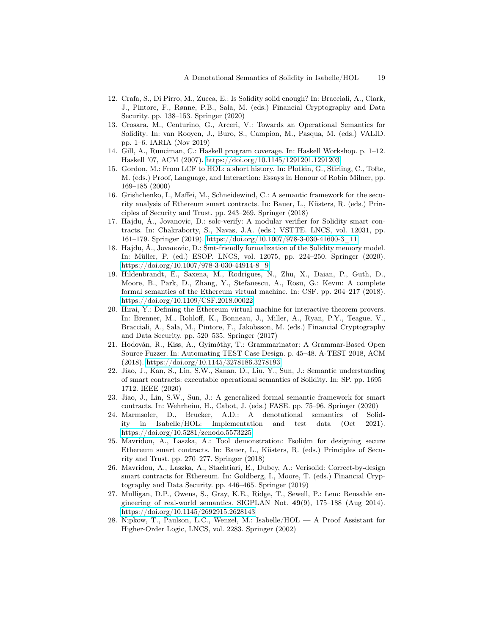- <span id="page-18-4"></span>12. Crafa, S., Di Pirro, M., Zucca, E.: Is Solidity solid enough? In: Bracciali, A., Clark, J., [Pintore, F., Rønne, P.B., Sala, M. \(eds.\)](https://doi.org/10.1145/1291201.1291203) Financial Cryptography and Data Security. pp. 138–153. Springer (2020)
- <span id="page-18-1"></span>13. Crosara, M., Centurino, G., Arceri, V.: Towards an Operational Semantics for Solidity. In: van Rooyen, J., Buro, S., Campion, M., Pasqua, M. (eds.) VALID. pp. 1–6. IARIA (Nov 2019)
- 14. Gill, A., Runciman, C.: Haskell program coverage. In: Haskell Workshop. p. 1–12. Haskell '07, ACM (2007). https://doi.org/10.1145/1291201.1291203
- <span id="page-18-5"></span>15. Gordon, M.: From LCF to HOL: a short history. In: Plotkin, G., Stirling, C., Tofte, M. (eds.) Proof, Language, and Interaction: Essays in Honour of Robin Milner, pp. 169–185 (2000)
- <span id="page-18-6"></span>16. Gri[shchenko, I., Maffei, M., Schneidewind, C.: A se](https://doi.org/10.1007/978-3-030-41600-3_11)mantic framework for the security analysis of Ethereum smart contracts. In: Bauer, L., Küsters, R. (eds.) Prin[ciples of Security and T](https://doi.org/10.1007/978-3-030-44914-8_9)rust. pp. 243–269. Springer (2018)
- 17. Hajdu, Á., Jovanovic, D.: solc-verify: A modular verifier for Solidity smart contracts. In: Chakraborty, S., Navas, J.A. (eds.) VSTTE. LNCS, vol. 12031, pp. 161–179. Springer (2019). https://doi.org/10.1007/978-3-030-41600-3\_11
- 18. [Hajdu, Á., Jovanov](https://doi.org/10.1109/CSF.2018.00022)ic, D.: Smt-friendly formalization of the Solidity memory model. In: Müller, P. (ed.) ESOP. LNCS, vol. 12075, pp. 224–250. Springer (2020). https://doi.org/10.1007/978-3-030-44914-8\_9
- 19. Hildenbrandt, E., Saxena, M., Rodrigues, N., Zhu, X., Daian, P., Guth, D., Moore, B., Park, D., Zhang, Y., Stefanescu, A., Rosu, G.: Kevm: A complete formal semantics of the Ethereum virtual machine. In: CSF. pp. 204–217 (2018). https://doi.org/10.1109/CSF.2018.00022
- <span id="page-18-7"></span><span id="page-18-2"></span>20. [Hirai, Y.: Defining the Eth](https://doi.org/10.1145/3278186.3278193)ereum virtual machine for interactive theorem provers. In: Brenner, M., Rohloff, K., Bonneau, J., Miller, A., Ryan, P.Y., Teague, V., Bracciali, A., Sala, M., Pintore, F., Jakobsson, M. (eds.) Financial Cryptography and Data Security. pp. 520–535. Springer (2017)
- <span id="page-18-8"></span>21. Hodován, R., Kiss, A., Gyimóthy, T.: Grammarinator: A Grammar-Based Open Source Fuzzer. In: Automating TEST Case Design. p. 45–48. A-TEST 2018, ACM (2018). https://doi.org/10.1145/3278186.3278193
- <span id="page-18-9"></span>22. Jiao, J., Kan, S., Lin, S.W., Sanan, D., Liu, Y., Sun, J.: Semantic understanding [of smart contracts](https://doi.org/10.5281/zenodo.5573225): executable operational semantics of Solidity. In: SP. pp. 1695– 1712. IEEE (2020)
- <span id="page-18-3"></span>23. Jiao, J., Lin, S.W., Sun, J.: A generalized formal semantic framework for smart contracts. In: Wehrheim, H., Cabot, J. (eds.) FASE. pp. 75–96. Springer (2020)
- 24. Marmsoler, D., Brucker, A.D.: A denotational semantics of Solidity in Isabelle/HOL: Implementation and test data (Oct 2021). https://doi.org/10.5281/zenodo.5573225
- 25. Mavridou, A., Laszka, A.: Tool demonstration: Fsolidm for designing secure Ethereum smart contracts. In: Bauer, L., Küsters, R. (eds.) Principles of Secu[rity and Trust. pp.](https://doi.org/10.1145/2692915.2628143) 270–277. Springer (2018)
- <span id="page-18-0"></span>26. Mavridou, A., Laszka, A., Stachtiari, E., Dubey, A.: Verisolid: Correct-by-design smart contracts for Ethereum. In: Goldberg, I., Moore, T. (eds.) Financial Cryptography and Data Security. pp. 446–465. Springer (2019)
- 27. Mulligan, D.P., Owens, S., Gray, K.E., Ridge, T., Sewell, P.: Lem: Reusable engineering of real-world semantics. SIGPLAN Not.  $49(9)$ , 175–188 (Aug 2014). https://doi.org/10.1145/2692915.2628143
- 28. Nipkow, T., Paulson, L.C., Wenzel, M.: Isabelle/HOL A Proof Assistant for Higher-Order Logic, LNCS, vol. 2283. Springer (2002)